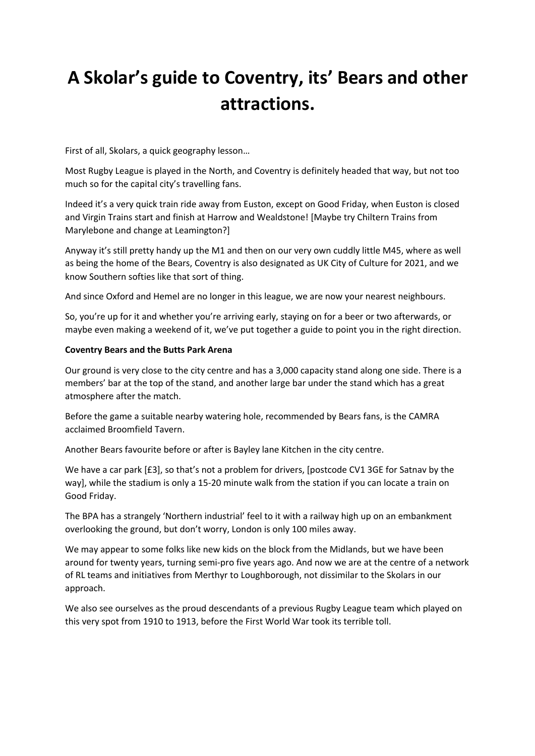# **A Skolar's guide to Coventry, its' Bears and other attractions.**

First of all, Skolars, a quick geography lesson…

Most Rugby League is played in the North, and Coventry is definitely headed that way, but not too much so for the capital city's travelling fans.

Indeed it's a very quick train ride away from Euston, except on Good Friday, when Euston is closed and Virgin Trains start and finish at Harrow and Wealdstone! [Maybe try Chiltern Trains from Marylebone and change at Leamington?]

Anyway it's still pretty handy up the M1 and then on our very own cuddly little M45, where as well as being the home of the Bears, Coventry is also designated as UK City of Culture for 2021, and we know Southern softies like that sort of thing.

And since Oxford and Hemel are no longer in this league, we are now your nearest neighbours.

So, you're up for it and whether you're arriving early, staying on for a beer or two afterwards, or maybe even making a weekend of it, we've put together a guide to point you in the right direction.

#### **Coventry Bears and the Butts Park Arena**

Our ground is very close to the city centre and has a 3,000 capacity stand along one side. There is a members' bar at the top of the stand, and another large bar under the stand which has a great atmosphere after the match.

Before the game a suitable nearby watering hole, recommended by Bears fans, is the CAMRA acclaimed Broomfield Tavern.

Another Bears favourite before or after is Bayley lane Kitchen in the city centre.

We have a car park [£3], so that's not a problem for drivers, [postcode CV1 3GE for Satnav by the way], while the stadium is only a 15-20 minute walk from the station if you can locate a train on Good Friday.

The BPA has a strangely 'Northern industrial' feel to it with a railway high up on an embankment overlooking the ground, but don't worry, London is only 100 miles away.

We may appear to some folks like new kids on the block from the Midlands, but we have been around for twenty years, turning semi-pro five years ago. And now we are at the centre of a network of RL teams and initiatives from Merthyr to Loughborough, not dissimilar to the Skolars in our approach.

We also see ourselves as the proud descendants of a previous Rugby League team which played on this very spot from 1910 to 1913, before the First World War took its terrible toll.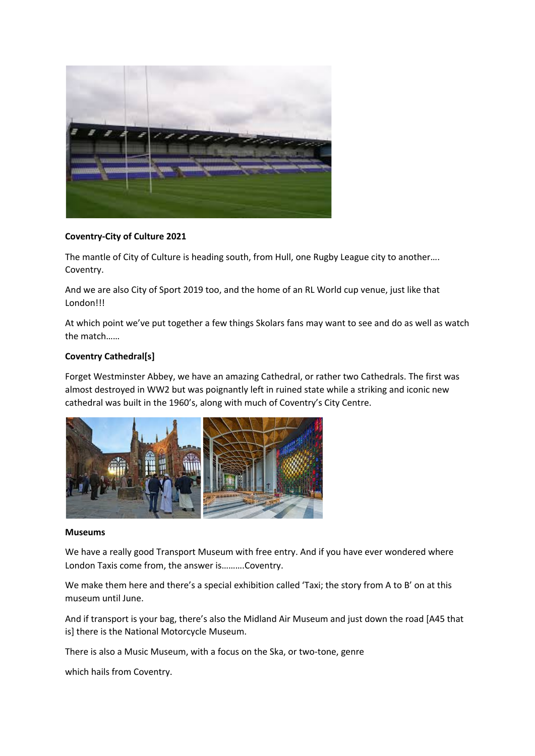

# **Coventry-City of Culture 2021**

The mantle of City of Culture is heading south, from Hull, one Rugby League city to another…. Coventry.

And we are also City of Sport 2019 too, and the home of an RL World cup venue, just like that London!!!

At which point we've put together a few things Skolars fans may want to see and do as well as watch the match……

## **Coventry Cathedral[s]**

Forget Westminster Abbey, we have an amazing Cathedral, or rather two Cathedrals. The first was almost destroyed in WW2 but was poignantly left in ruined state while a striking and iconic new cathedral was built in the 1960's, along with much of Coventry's City Centre.



#### **Museums**

We have a really good Transport Museum with free entry. And if you have ever wondered where London Taxis come from, the answer is……….Coventry.

We make them here and there's a special exhibition called 'Taxi; the story from A to B' on at this museum until June.

And if transport is your bag, there's also the Midland Air Museum and just down the road [A45 that is] there is the National Motorcycle Museum.

There is also a Music Museum, with a focus on the Ska, or two-tone, genre

which hails from Coventry.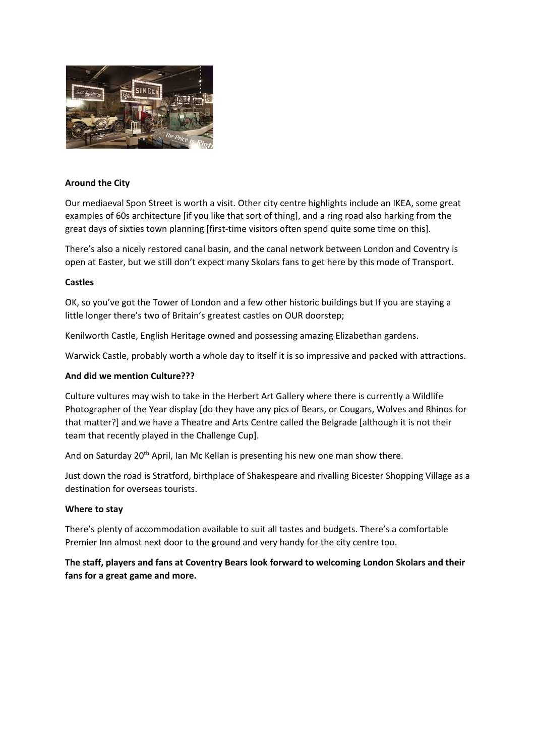

## **Around the City**

Our mediaeval Spon Street is worth a visit. Other city centre highlights include an IKEA, some great examples of 60s architecture [if you like that sort of thing], and a ring road also harking from the great days of sixties town planning [first-time visitors often spend quite some time on this].

There's also a nicely restored canal basin, and the canal network between London and Coventry is open at Easter, but we still don't expect many Skolars fans to get here by this mode of Transport.

#### **Castles**

OK, so you've got the Tower of London and a few other historic buildings but If you are staying a little longer there's two of Britain's greatest castles on OUR doorstep;

Kenilworth Castle, English Heritage owned and possessing amazing Elizabethan gardens.

Warwick Castle, probably worth a whole day to itself it is so impressive and packed with attractions.

## **And did we mention Culture???**

Culture vultures may wish to take in the Herbert Art Gallery where there is currently a Wildlife Photographer of the Year display [do they have any pics of Bears, or Cougars, Wolves and Rhinos for that matter?] and we have a Theatre and Arts Centre called the Belgrade [although it is not their team that recently played in the Challenge Cup].

And on Saturday 20<sup>th</sup> April, Ian Mc Kellan is presenting his new one man show there.

Just down the road is Stratford, birthplace of Shakespeare and rivalling Bicester Shopping Village as a destination for overseas tourists.

#### **Where to stay**

There's plenty of accommodation available to suit all tastes and budgets. There's a comfortable Premier Inn almost next door to the ground and very handy for the city centre too.

**The staff, players and fans at Coventry Bears look forward to welcoming London Skolars and their fans for a great game and more.**